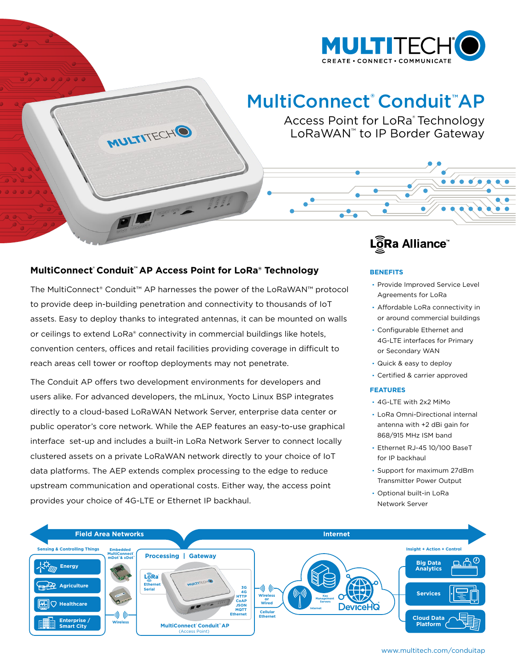

# MultiConnect® Conduit™AP

Access Point for LoRa® Technology LoRaWAN™ to IP Border Gateway

### **MultiConnect' Conduit™ AP Access Point for LoRa® Technology**

MULTITECHO

The MultiConnect® Conduit™ AP harnesses the power of the LoRaWAN™ protocol to provide deep in-building penetration and connectivity to thousands of IoT assets. Easy to deploy thanks to integrated antennas, it can be mounted on walls or ceilings to extend LoRa® connectivity in commercial buildings like hotels, convention centers, offices and retail facilities providing coverage in difficult to reach areas cell tower or rooftop deployments may not penetrate.

The Conduit AP offers two development environments for developers and users alike. For advanced developers, the mLinux, Yocto Linux BSP integrates directly to a cloud-based LoRaWAN Network Server, enterprise data center or public operator's core network. While the AEP features an easy-to-use graphical interface set-up and includes a built-in LoRa Network Server to connect locally clustered assets on a private LoRaWAN network directly to your choice of IoT data platforms. The AEP extends complex processing to the edge to reduce upstream communication and operational costs. Either way, the access point provides your choice of 4G-LTE or Ethernet IP backhaul.

## LoRa Alliance

#### **BENEFITS**

- · Provide Improved Service Level Agreements for LoRa
- · Affordable LoRa connectivity in or around commercial buildings
- · Configurable Ethernet and 4G-LTE interfaces for Primary or Secondary WAN
- · Quick & easy to deploy
- · Certified & carrier approved

#### **FEATURES**

- · 4G-LTE with 2x2 MiMo
- · LoRa Omni-Directional internal antenna with +2 dBi gain for 868/915 MHz ISM band
- · Ethernet RJ-45 10/100 BaseT for IP backhaul
- · Support for maximum 27dBm Transmitter Power Output
- · Optional built-in LoRa Network Server



www.multitech.com/conduitap